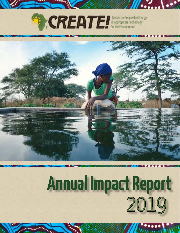



# **Annual Impact Report** 2019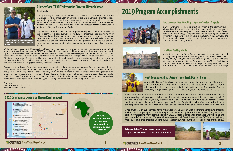**Annual Impact Report 2019 2 Annual Impact Report 2019 3**

 $\frac{1}{2}$ 

**In 2019,**  *CREATE!* **expanded to two new communities Boustane Lo and Mbossedji.**

# A Letter from CREATE!'s Executive Director, Michael Carson<br>Dear friends, **2019 Program Accomplishments**









**Michael Carson (left) with Horticulture Technician, Georges Nesta Mancabo (right).**

In the first quarter of 2019, five of our partner communities started building their poultry sheds. Following *CREATE!*'s 5-year development model, poultry raising is one of the later programs. This is a significant milestone for the communities of Wereyane, Santhie, Mboss, Back Samba Dior, and Keur Daouda because this project will help take them even further along the path of income generation and overall self-sufficiency!





In 2019, *CREATE!* piloted a drip irrigation system in the communities of Mbossedji and Bousatne Lo to relieve the manual workload of our women beneficiaries who previously would have to carry heavy buckets of water from the basins to the garden plots. We envision installing drip irrigation systems in all our partner communities in the future. With clean water and the new irrigation systems, the communities will now have water yearround for drinking and agriculture use.

### **Meet Yougouré's First Garden President: Boury Thiam**

### **Five New Poultry Sheds**

### **Two Communities Pilot Drip Irrigation System Projects**

Women like Boury Thiam have the power to change the future of their family and their community. In 2018, when *CREATE!* first partnered with Yougouré, Boury volunteered to lead her community to self-sufficiency as Cooperative Garden president, using *CREATE!*'s programs as stepping stones to a successful future.

Each day as the sun breaks over the horizon, Boury and other women walk to their community garden, some carrying their youngest child on their backs. "Women can now work in the village, they don't need to leave their families," Boury explains. As well as leading her community as Cooperative Garden president, Boury is also a mother who supports a family of eight. Her children's future and well-being are her priority. "I have an occupation in the village so I can work and take care of my children," she says.

Once a week, *CREATE!*'s technicians train the Cooperative Garden Group different agriculture practices such as cover cropping and transplanting, as well as planning for the future of their first year-round garden. "I'm learning many techniques from *CREATE!*'s technicians; after graduation we will be able to garden easily," Boury tells us. Yougouré has completed their first full year with *CREATE!* and have already made such immense progress under Boury's leadership. Check out the before and after photos below:

**Before and after: Yougoure's community garden progress from December 2018 (left) to April 2019 (right).**

Dear friends,

During 2019, my first year as *CREATE!*'s Executive Director, I had the honor and pleasure to visit Senegal three times. Each time I visit our projects in Senegal, I am inspired and amazed by the resolve, optimism, perseverance and collaborative spirit demonstrated by our beneficieries while working their community garden and income generation projects. I am equally inspired by the dedication demonstrated daily by our staff, led by our Country Director, Omar Ndiaye Seck.

Together with the work of our staff and the generous support of our partners, we have plans to technically expand our work. In late 2019, we embarked on an irrigation activity in Boustane Lo and Mbossedji that is transforming our work in terms on increased vegetable production and income generating opportunities. We are also planning a new household nutrition initiative that will help women grow vitamin A and nutrition rich sweet potatoes and corn, and combat malnutrition in children under five and young adults.

While visiting our activities in Boustane Lo in December, I was struck by the organization and cohesiveness of women that were being trained and mobilized by *CREATE!* to begin their project and vegetable garden with us. I was extremely impressed by the collaboration between the women of Boustane Lo and their Community Development Volunteer, Mr. Diop. Mr. Diop returned to Boustane Lo from Dakar to contribute to the development of the village. With the investment of *CREATE!* and Mr. Diop, the women of Boustane Lo village are empowering themselves and the next generation through learning how to produce agriculture for household consumption and sale, develop a poultry project to earn income from the sale of chickens and eggs, and eventually engage in income generating activities.

Recently, due to threat of the global Coronavirus pandemic, we have started an emergency COVID-19 response in our communities. We implemented a pilot initiative distributing hand washing stations in Boustane Lo and are training women's group leaders on the importance of social distancing. In the next few months, we hope to place a handwashing station in all eighteen of our villages, and train women in these villages on the importance of handwashing and social distancing while working on their farms and in their communities. We would not have been able to achieve the impact with Senegalese communities without your help. Thank you again for your generous and unwavering support to *CREATE!*.

Sincerely, Michael Carson *CREATE!* Executive Director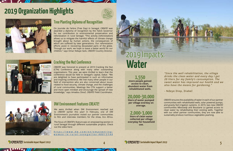$\cdots \cdots \cdots$ 

### **2019 Organization Highlights**



### **20,000-30,000**

**liters of water pumped per village everday on average.**

### **2,000-3,000**

**liters of clean water collected per village everyday for household use.**

**1,550 more people gained access to clean, abundant water from rehabilitated wells.**

*"Since the well rehabilitation, the village drinks the clean water and every day I get 20 liters for my family's consumption. The sweet water has improved our health and we also have the means for gardening."*

**- Ndeye Diop, Diabel**

*CREATE!* ensures the availability of water in each of our partner communities with rehabilitated wells, solar powered pumps, and gravity fed irrigation systems. In 2019, two new *CREATE!*  communities Mbossedji and Boustane Lo gained access to clean water by rehabilitating their existing wells. Together with our other partner communities, they are now able to sustainably produce nutritious vegetables yearlong.

## **Water** 2019 Impacts:

*CREATE!* was honored to present at 2019 Cracking the Nut (CTN) Conference along with many other outstanding organizations. This year, we were thrilled to learn that the conference would be held in Senegal's capital, Dakar. "We are delighted to have participated in such an informative and inspiring conference. We met many other people in our field of intervention who are also concerned about issues related to food security, climate change, and the challenges of rural communities. Meetings like CTN support a better and more open mindset and encourage the spread of new knowledge," says Amadou Diouf, *CREATE!* Field Coordinator.



On Journée de l'arbre (Tree Day) in Senegal, *CREATE!* was awarded a diploma of recognition by the Fatick Governor for our contribution to environmental preservation and reforestation in rural Senegal. "This activity [reforestation] allows us to mitigate the harmful effects of climate change brought about by human actions, the consequences of which are suffered by later generations. Our reforestation efforts assist in recovering devastated parts of the globe. Through our work, we hope to leave a better world for our children," says Omar Ndiaye Seck, *CREATE!* Country Director.



### **Cracking the Nut Conference**

### **Tree Planting Diploma of Recognition**

### **DW Environment Features CREATE!**

*[https://www.dw.com/en/empowering](https://www.dw.com/en/empowering-women-in-rural-senegal/av-48013146)[women-in-rural-senegal/av-48013146](https://www.dw.com/en/empowering-women-in-rural-senegal/av-48013146)*

We were thrilled when DW Environment reached out to *CREATE!* earlier this year! In February, one of DW Environment's journalists visited our partner communities to film and interview members for the show, Eco Africa.

The focus of *CREATE!*'s feature was on empowering women in rural Senegal through different sustainable projects. Check out the video here: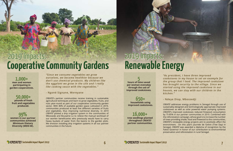**50,000+ pounds of fresh fruit and vegetables produced.**

**99% women in our partner communities achieved Minimum Dietary Diversity (MDD-W).**

**1,000+ men and women participating in garden cooperatives.**

*"Since we consume vegetables we grow ourselves, we become healthier because we don't use chemical products. My children like the eggplant we grow in the site and I really like cooking sauce with the vegetables."*

**- Ngoné Signane, Wereyane**

### 2019 Impacts: **Cooperative Community Gardens**

*CREATE!*'s partner communities receive training in sustainable agricultural techniques and learn to grow vegetables, fruits, and nuts year-round as part of our cooperative community garden sector. With 80% of available garden space cultivated in 2019, communities produced at least five different varieties of fruits and vegetables, thus improving nutritional diversity. In 2019 *CREATE!* piloted a drip irrigation system in the communities of Mbossedji and Bousatne Lo to relieve the manual workload of our women beneficiaries who previously would have to carry heavy buckets of water from the basins to the garden plots. We envision installing drip irrigation systems in all our partner communities in the future.

# 2019 Impacts:<br>Renewable Energy

**650+**

**households using improved cookstoves.**

**16,000+ tree seedlings planted throughout** *CREATE!*  **partner communities.**

**5 hours of time saved per woman everyday through the use of improved cookstoves.**

*"As president, I have three improved cookstoves in my house to set an example for the group that I lead. The improved cookstove has brought security to the village. Since we started using the improved cookstove in our houses, we can stay with our children in the kitchen."*

#### **- Ndeye Diop, Mbossedji**

*CREATE!* addresses energy problems in Senegal through use of sustainably-designed and technologically appropriate improved cookstoves as well as solar powered water pumping systems. *CREATE!*'s improved cookstoves reduced firewood consumption by 75-85% in our partner communities in 2019. Combined with the reforestation campaign, whose goal is to increase the number of trees providing shade, food and firewood to the communities, *CREATE!'*s renewable energy projects aim to positively affect the environment. On this year's Journée de l'arbre (Tree Day) in Senegal, *CREATE!* was awarded a diploma of recognition by the Fatick Governor in honor of our contribution to environmental preservation and reforestation in rural Senegal.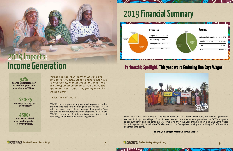## 2019 **Financial Summary**

**9**

### Partnership Spotlight: This year, we're featuring One Days Wages!



| Individuals/Donations \$191,181 |           |
|---------------------------------|-----------|
| <b>Foundation Grants</b>        | \$263,242 |
| Other                           | \$4,591   |
| Total                           | \$459,015 |



**\$20-25 average savings per beneficiary.**

**4500+ chickens raised and sold in partner communities.**

**92% average participation rate of cooperative members in VSLAs.**

*"Thanks to the VSLA, women in Walo are able to satisfy their needs because they are saving money, making loans and most of us are doing small commerce. Now I have the opportunity to support my family with the credit I earn."*

**- Bassine Fall, Walo**

*CREATE!*'s income generation programs integrate a number of activities to help rural women gain basic financial literacy skills and use these skills to manage their profits from poultry and agricultural production programs. In 2019, two *CREATE!* communities, Santhie and Wereyane, started their VSLA program and their poultry raising activities.



# 2019 Impacts: **Income Generation**

Since 2014, One Day's Wages has helped support *CREATE!*'s water, agriculture, and income generating activities in 11 partner villages. Four of these partner communities have gradudated *CREATE!*'s programs to self-sufficiency and the other six are completing their five year training. Thanks to One Day's Wages incredible generosity, hundreds of families across rural Senegal are thriving and building self-sufficiency for generations to come.

**STREATE!** Sustainable Impact Report 2019

**SCREATE!** Sustainable Impact Report 2019

**Thank you, jerejef, merci One Days Wages!**